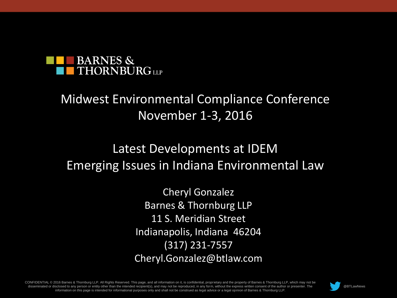

#### Midwest Environmental Compliance Conference November 1-3, 2016

#### Latest Developments at IDEM Emerging Issues in Indiana Environmental Law

Cheryl Gonzalez Barnes & Thornburg LLP 11 S. Meridian Street Indianapolis, Indiana 46204 (317) 231-7557 Cheryl.Gonzalez@btlaw.com

CONFIDENTIAL © 2016 Barnes & Thornburg LLP. All Rights Reserved. This page, and all information on it, is confidential, proprietary and the property of Barnes & Thornburg LLP, which may not be disseminated or disclosed to any person or entity other than the intended recipient(s), and may not be reproduced, in any form, without the express written consent of the author or presenter. The information on this page is intended for informational purposes only and shall not be construed as legal advice or a legal opinion of Barnes & Thornburg LLP.



Page 1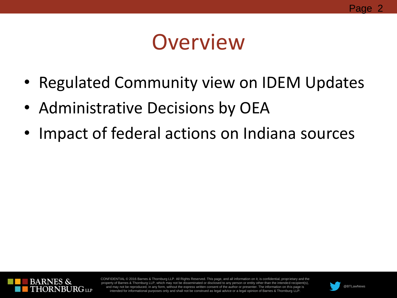### **Overview**

- Regulated Community view on IDEM Updates
- Administrative Decisions by OEA
- Impact of federal actions on Indiana sources



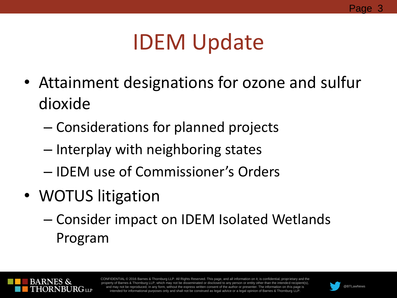## IDEM Update

- Attainment designations for ozone and sulfur dioxide
	- Considerations for planned projects
	- Interplay with neighboring states
	- IDEM use of Commissioner's Orders
- WOTUS litigation
	- Consider impact on IDEM Isolated Wetlands Program



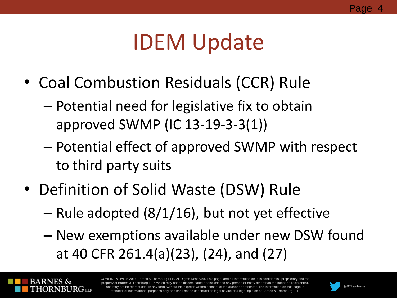# IDEM Update

- Coal Combustion Residuals (CCR) Rule
	- Potential need for legislative fix to obtain approved SWMP (IC 13-19-3-3(1))
	- Potential effect of approved SWMP with respect to third party suits
- Definition of Solid Waste (DSW) Rule
	- Rule adopted (8/1/16), but not yet effective
	- New exemptions available under new DSW found at 40 CFR 261.4(a)(23), (24), and (27)



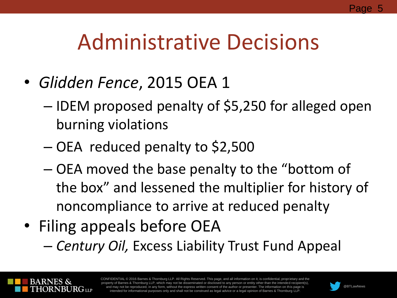# Administrative Decisions

- *Glidden Fence*, 2015 OEA 1
	- IDEM proposed penalty of \$5,250 for alleged open burning violations
	- OEA reduced penalty to \$2,500
	- OEA moved the base penalty to the "bottom of the box" and lessened the multiplier for history of noncompliance to arrive at reduced penalty
- Filing appeals before OEA – *Century Oil,* Excess Liability Trust Fund Appeal



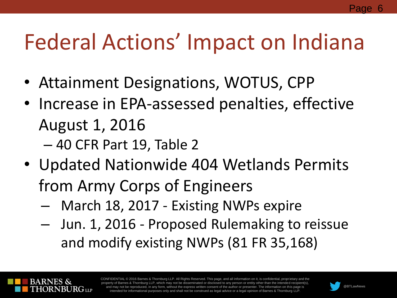# Federal Actions' Impact on Indiana

- Attainment Designations, WOTUS, CPP
- Increase in EPA-assessed penalties, effective August 1, 2016
	- 40 CFR Part 19, Table 2
- Updated Nationwide 404 Wetlands Permits from Army Corps of Engineers
	- March 18, 2017 Existing NWPs expire
	- Jun. 1, 2016 Proposed Rulemaking to reissue and modify existing NWPs (81 FR 35,168)